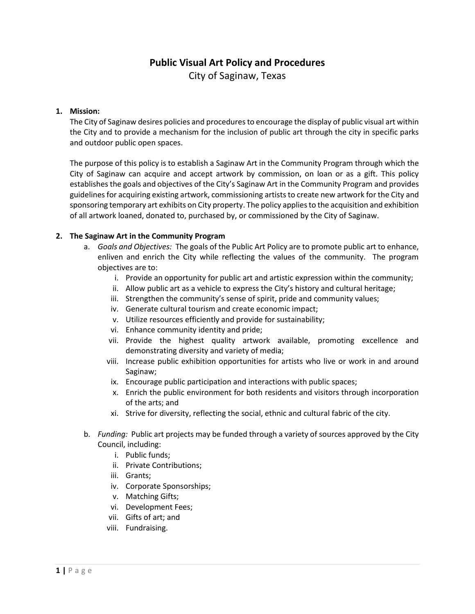# **Public Visual Art Policy and Procedures** City of Saginaw, Texas

## **1. Mission:**

The City of Saginaw desires policies and procedures to encourage the display of public visual art within the City and to provide a mechanism for the inclusion of public art through the city in specific parks and outdoor public open spaces.

The purpose of this policy is to establish a Saginaw Art in the Community Program through which the City of Saginaw can acquire and accept artwork by commission, on loan or as a gift. This policy establishes the goals and objectives of the City's Saginaw Art in the Community Program and provides guidelines for acquiring existing artwork, commissioning artists to create new artwork for the City and sponsoring temporary art exhibits on City property. The policy applies to the acquisition and exhibition of all artwork loaned, donated to, purchased by, or commissioned by the City of Saginaw.

#### **2. The Saginaw Art in the Community Program**

- a. *Goals and Objectives:* The goals of the Public Art Policy are to promote public art to enhance, enliven and enrich the City while reflecting the values of the community. The program objectives are to:
	- i. Provide an opportunity for public art and artistic expression within the community;
	- ii. Allow public art as a vehicle to express the City's history and cultural heritage;
	- iii. Strengthen the community's sense of spirit, pride and community values;
	- iv. Generate cultural tourism and create economic impact;
	- v. Utilize resources efficiently and provide for sustainability;
	- vi. Enhance community identity and pride;
	- vii. Provide the highest quality artwork available, promoting excellence and demonstrating diversity and variety of media;
	- viii. Increase public exhibition opportunities for artists who live or work in and around Saginaw;
	- ix. Encourage public participation and interactions with public spaces;
	- x. Enrich the public environment for both residents and visitors through incorporation of the arts; and
	- xi. Strive for diversity, reflecting the social, ethnic and cultural fabric of the city.
- b. *Funding:* Public art projects may be funded through a variety of sources approved by the City Council, including:
	- i. Public funds;
	- ii. Private Contributions;
	- iii. Grants;
	- iv. Corporate Sponsorships;
	- v. Matching Gifts;
	- vi. Development Fees;
	- vii. Gifts of art; and
	- viii. Fundraising.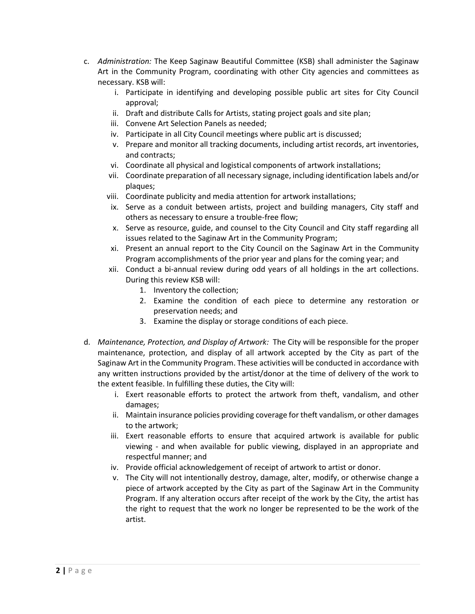- c. *Administration:* The Keep Saginaw Beautiful Committee (KSB) shall administer the Saginaw Art in the Community Program, coordinating with other City agencies and committees as necessary. KSB will:
	- i. Participate in identifying and developing possible public art sites for City Council approval;
	- ii. Draft and distribute Calls for Artists, stating project goals and site plan;
	- iii. Convene Art Selection Panels as needed;
	- iv. Participate in all City Council meetings where public art is discussed;
	- v. Prepare and monitor all tracking documents, including artist records, art inventories, and contracts;
	- vi. Coordinate all physical and logistical components of artwork installations;
	- vii. Coordinate preparation of all necessary signage, including identification labels and/or plaques;
	- viii. Coordinate publicity and media attention for artwork installations;
	- ix. Serve as a conduit between artists, project and building managers, City staff and others as necessary to ensure a trouble-free flow;
	- x. Serve as resource, guide, and counsel to the City Council and City staff regarding all issues related to the Saginaw Art in the Community Program;
	- xi. Present an annual report to the City Council on the Saginaw Art in the Community Program accomplishments of the prior year and plans for the coming year; and
	- xii. Conduct a bi-annual review during odd years of all holdings in the art collections. During this review KSB will:
		- 1. Inventory the collection;
		- 2. Examine the condition of each piece to determine any restoration or preservation needs; and
		- 3. Examine the display or storage conditions of each piece.
- d. *Maintenance, Protection, and Display of Artwork:* The City will be responsible for the proper maintenance, protection, and display of all artwork accepted by the City as part of the Saginaw Art in the Community Program. These activities will be conducted in accordance with any written instructions provided by the artist/donor at the time of delivery of the work to the extent feasible. In fulfilling these duties, the City will:
	- i. Exert reasonable efforts to protect the artwork from theft, vandalism, and other damages;
	- ii. Maintain insurance policies providing coverage for theft vandalism, or other damages to the artwork;
	- iii. Exert reasonable efforts to ensure that acquired artwork is available for public viewing - and when available for public viewing, displayed in an appropriate and respectful manner; and
	- iv. Provide official acknowledgement of receipt of artwork to artist or donor.
	- v. The City will not intentionally destroy, damage, alter, modify, or otherwise change a piece of artwork accepted by the City as part of the Saginaw Art in the Community Program. If any alteration occurs after receipt of the work by the City, the artist has the right to request that the work no longer be represented to be the work of the artist.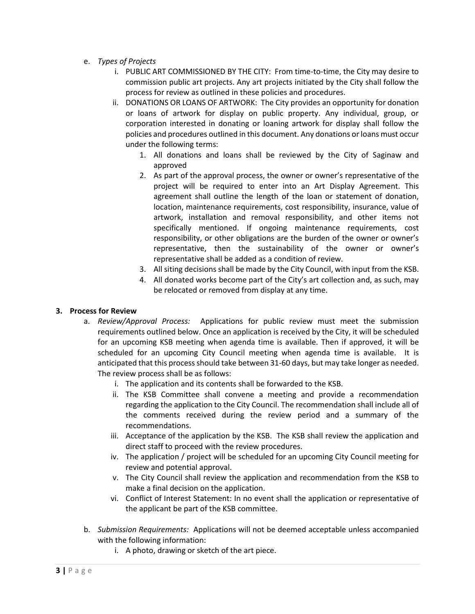- e. *Types of Projects*
	- i. PUBLIC ART COMMISSIONED BY THE CITY: From time‐to‐time, the City may desire to commission public art projects. Any art projects initiated by the City shall follow the process for review as outlined in these policies and procedures.
	- ii. DONATIONS OR LOANS OF ARTWORK: The City provides an opportunity for donation or loans of artwork for display on public property. Any individual, group, or corporation interested in donating or loaning artwork for display shall follow the policies and procedures outlined in this document. Any donations or loans must occur under the following terms:
		- 1. All donations and loans shall be reviewed by the City of Saginaw and approved
		- 2. As part of the approval process, the owner or owner's representative of the project will be required to enter into an Art Display Agreement. This agreement shall outline the length of the loan or statement of donation, location, maintenance requirements, cost responsibility, insurance, value of artwork, installation and removal responsibility, and other items not specifically mentioned. If ongoing maintenance requirements, cost responsibility, or other obligations are the burden of the owner or owner's representative, then the sustainability of the owner or owner's representative shall be added as a condition of review.
		- 3. All siting decisions shall be made by the City Council, with input from the KSB.
		- 4. All donated works become part of the City's art collection and, as such, may be relocated or removed from display at any time.

## **3. Process for Review**

- a. *Review/Approval Process:* Applications for public review must meet the submission requirements outlined below. Once an application is received by the City, it will be scheduled for an upcoming KSB meeting when agenda time is available. Then if approved, it will be scheduled for an upcoming City Council meeting when agenda time is available. It is anticipated that this process should take between 31‐60 days, but may take longer as needed. The review process shall be as follows:
	- i. The application and its contents shall be forwarded to the KSB.
	- ii. The KSB Committee shall convene a meeting and provide a recommendation regarding the application to the City Council. The recommendation shall include all of the comments received during the review period and a summary of the recommendations.
	- iii. Acceptance of the application by the KSB. The KSB shall review the application and direct staff to proceed with the review procedures.
	- iv. The application / project will be scheduled for an upcoming City Council meeting for review and potential approval.
	- v. The City Council shall review the application and recommendation from the KSB to make a final decision on the application.
	- vi. Conflict of Interest Statement: In no event shall the application or representative of the applicant be part of the KSB committee.
- b. *Submission Requirements:* Applications will not be deemed acceptable unless accompanied with the following information:
	- i. A photo, drawing or sketch of the art piece.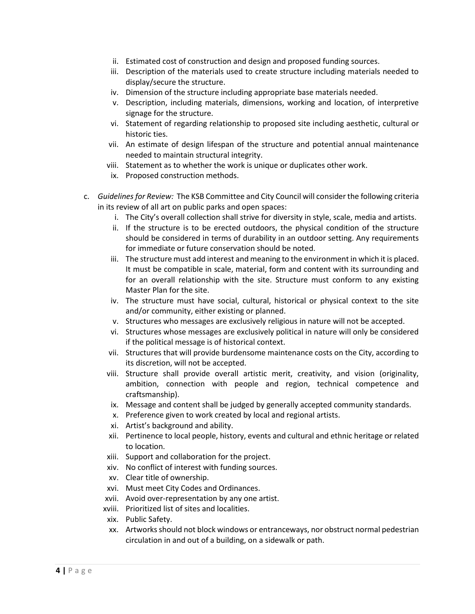- ii. Estimated cost of construction and design and proposed funding sources.
- iii. Description of the materials used to create structure including materials needed to display/secure the structure.
- iv. Dimension of the structure including appropriate base materials needed.
- v. Description, including materials, dimensions, working and location, of interpretive signage for the structure.
- vi. Statement of regarding relationship to proposed site including aesthetic, cultural or historic ties.
- vii. An estimate of design lifespan of the structure and potential annual maintenance needed to maintain structural integrity.
- viii. Statement as to whether the work is unique or duplicates other work.
- ix. Proposed construction methods.
- c. *Guidelines for Review:* The KSB Committee and City Council will consider the following criteria in its review of all art on public parks and open spaces:
	- i. The City's overall collection shall strive for diversity in style, scale, media and artists.
	- ii. If the structure is to be erected outdoors, the physical condition of the structure should be considered in terms of durability in an outdoor setting. Any requirements for immediate or future conservation should be noted.
	- iii. The structure must add interest and meaning to the environment in which it is placed. It must be compatible in scale, material, form and content with its surrounding and for an overall relationship with the site. Structure must conform to any existing Master Plan for the site.
	- iv. The structure must have social, cultural, historical or physical context to the site and/or community, either existing or planned.
	- v. Structures who messages are exclusively religious in nature will not be accepted.
	- vi. Structures whose messages are exclusively political in nature will only be considered if the political message is of historical context.
	- vii. Structures that will provide burdensome maintenance costs on the City, according to its discretion, will not be accepted.
	- viii. Structure shall provide overall artistic merit, creativity, and vision (originality, ambition, connection with people and region, technical competence and craftsmanship).
	- ix. Message and content shall be judged by generally accepted community standards.
	- x. Preference given to work created by local and regional artists.
	- xi. Artist's background and ability.
	- xii. Pertinence to local people, history, events and cultural and ethnic heritage or related to location.
	- xiii. Support and collaboration for the project.
	- xiv. No conflict of interest with funding sources.
	- xv. Clear title of ownership.
	- xvi. Must meet City Codes and Ordinances.
	- xvii. Avoid over‐representation by any one artist.
	- xviii. Prioritized list of sites and localities.
	- xix. Public Safety.
	- xx. Artworks should not block windows or entranceways, nor obstruct normal pedestrian circulation in and out of a building, on a sidewalk or path.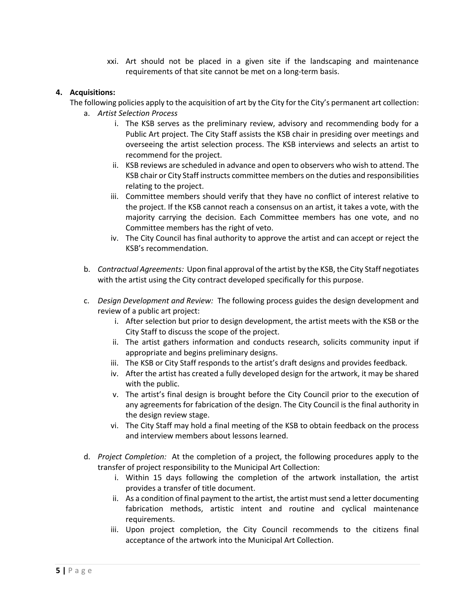xxi. Art should not be placed in a given site if the landscaping and maintenance requirements of that site cannot be met on a long‐term basis.

### **4. Acquisitions:**

The following policies apply to the acquisition of art by the City for the City's permanent art collection: a. *Artist Selection Process*

- i. The KSB serves as the preliminary review, advisory and recommending body for a Public Art project. The City Staff assists the KSB chair in presiding over meetings and overseeing the artist selection process. The KSB interviews and selects an artist to recommend for the project.
- ii. KSB reviews are scheduled in advance and open to observers who wish to attend. The KSB chair or City Staff instructs committee members on the duties and responsibilities relating to the project.
- iii. Committee members should verify that they have no conflict of interest relative to the project. If the KSB cannot reach a consensus on an artist, it takes a vote, with the majority carrying the decision. Each Committee members has one vote, and no Committee members has the right of veto.
- iv. The City Council has final authority to approve the artist and can accept or reject the KSB's recommendation.
- b. *Contractual Agreements:* Upon final approval of the artist by the KSB, the City Staff negotiates with the artist using the City contract developed specifically for this purpose.
- c. *Design Development and Review:* The following process guides the design development and review of a public art project:
	- i. After selection but prior to design development, the artist meets with the KSB or the City Staff to discuss the scope of the project.
	- ii. The artist gathers information and conducts research, solicits community input if appropriate and begins preliminary designs.
	- iii. The KSB or City Staff responds to the artist's draft designs and provides feedback.
	- iv. After the artist has created a fully developed design for the artwork, it may be shared with the public.
	- v. The artist's final design is brought before the City Council prior to the execution of any agreements for fabrication of the design. The City Council is the final authority in the design review stage.
	- vi. The City Staff may hold a final meeting of the KSB to obtain feedback on the process and interview members about lessons learned.
- d. *Project Completion:* At the completion of a project, the following procedures apply to the transfer of project responsibility to the Municipal Art Collection:
	- i. Within 15 days following the completion of the artwork installation, the artist provides a transfer of title document.
	- ii. As a condition of final payment to the artist, the artist must send a letter documenting fabrication methods, artistic intent and routine and cyclical maintenance requirements.
	- iii. Upon project completion, the City Council recommends to the citizens final acceptance of the artwork into the Municipal Art Collection.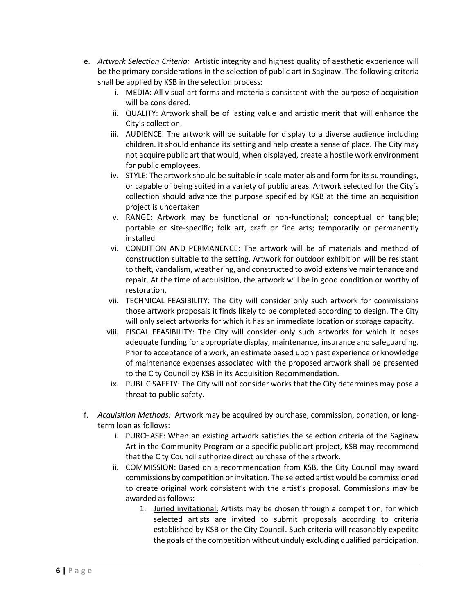- e. *Artwork Selection Criteria:* Artistic integrity and highest quality of aesthetic experience will be the primary considerations in the selection of public art in Saginaw. The following criteria shall be applied by KSB in the selection process:
	- i. MEDIA: All visual art forms and materials consistent with the purpose of acquisition will be considered.
	- ii. QUALITY: Artwork shall be of lasting value and artistic merit that will enhance the City's collection.
	- iii. AUDIENCE: The artwork will be suitable for display to a diverse audience including children. It should enhance its setting and help create a sense of place. The City may not acquire public art that would, when displayed, create a hostile work environment for public employees.
	- iv. STYLE: The artwork should be suitable in scale materials and form for its surroundings, or capable of being suited in a variety of public areas. Artwork selected for the City's collection should advance the purpose specified by KSB at the time an acquisition project is undertaken
	- v. RANGE: Artwork may be functional or non-functional; conceptual or tangible; portable or site-specific; folk art, craft or fine arts; temporarily or permanently installed
	- vi. CONDITION AND PERMANENCE: The artwork will be of materials and method of construction suitable to the setting. Artwork for outdoor exhibition will be resistant to theft, vandalism, weathering, and constructed to avoid extensive maintenance and repair. At the time of acquisition, the artwork will be in good condition or worthy of restoration.
	- vii. TECHNICAL FEASIBILITY: The City will consider only such artwork for commissions those artwork proposals it finds likely to be completed according to design. The City will only select artworks for which it has an immediate location or storage capacity.
	- viii. FISCAL FEASIBILITY: The City will consider only such artworks for which it poses adequate funding for appropriate display, maintenance, insurance and safeguarding. Prior to acceptance of a work, an estimate based upon past experience or knowledge of maintenance expenses associated with the proposed artwork shall be presented to the City Council by KSB in its Acquisition Recommendation.
	- ix. PUBLIC SAFETY: The City will not consider works that the City determines may pose a threat to public safety.
- f. *Acquisition Methods:* Artwork may be acquired by purchase, commission, donation, or longterm loan as follows:
	- i. PURCHASE: When an existing artwork satisfies the selection criteria of the Saginaw Art in the Community Program or a specific public art project, KSB may recommend that the City Council authorize direct purchase of the artwork.
	- ii. COMMISSION: Based on a recommendation from KSB, the City Council may award commissions by competition or invitation. The selected artist would be commissioned to create original work consistent with the artist's proposal. Commissions may be awarded as follows:
		- 1. Juried invitational: Artists may be chosen through a competition, for which selected artists are invited to submit proposals according to criteria established by KSB or the City Council. Such criteria will reasonably expedite the goals of the competition without unduly excluding qualified participation.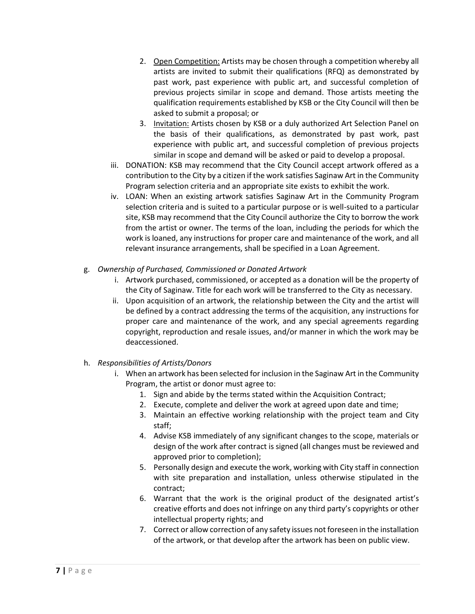- 2. Open Competition: Artists may be chosen through a competition whereby all artists are invited to submit their qualifications (RFQ) as demonstrated by past work, past experience with public art, and successful completion of previous projects similar in scope and demand. Those artists meeting the qualification requirements established by KSB or the City Council will then be asked to submit a proposal; or
- 3. Invitation: Artists chosen by KSB or a duly authorized Art Selection Panel on the basis of their qualifications, as demonstrated by past work, past experience with public art, and successful completion of previous projects similar in scope and demand will be asked or paid to develop a proposal.
- iii. DONATION: KSB may recommend that the City Council accept artwork offered as a contribution to the City by a citizen if the work satisfies Saginaw Art in the Community Program selection criteria and an appropriate site exists to exhibit the work.
- iv. LOAN: When an existing artwork satisfies Saginaw Art in the Community Program selection criteria and is suited to a particular purpose or is well-suited to a particular site, KSB may recommend that the City Council authorize the City to borrow the work from the artist or owner. The terms of the loan, including the periods for which the work is loaned, any instructions for proper care and maintenance of the work, and all relevant insurance arrangements, shall be specified in a Loan Agreement.
- g. *Ownership of Purchased, Commissioned or Donated Artwork*
	- i. Artwork purchased, commissioned, or accepted as a donation will be the property of the City of Saginaw. Title for each work will be transferred to the City as necessary.
	- ii. Upon acquisition of an artwork, the relationship between the City and the artist will be defined by a contract addressing the terms of the acquisition, any instructions for proper care and maintenance of the work, and any special agreements regarding copyright, reproduction and resale issues, and/or manner in which the work may be deaccessioned.
- h. *Responsibilities of Artists/Donors*
	- i. When an artwork has been selected for inclusion in the Saginaw Art in the Community Program, the artist or donor must agree to:
		- 1. Sign and abide by the terms stated within the Acquisition Contract;
		- 2. Execute, complete and deliver the work at agreed upon date and time;
		- 3. Maintain an effective working relationship with the project team and City staff;
		- 4. Advise KSB immediately of any significant changes to the scope, materials or design of the work after contract is signed (all changes must be reviewed and approved prior to completion);
		- 5. Personally design and execute the work, working with City staff in connection with site preparation and installation, unless otherwise stipulated in the contract;
		- 6. Warrant that the work is the original product of the designated artist's creative efforts and does not infringe on any third party's copyrights or other intellectual property rights; and
		- 7. Correct or allow correction of any safety issues not foreseen in the installation of the artwork, or that develop after the artwork has been on public view.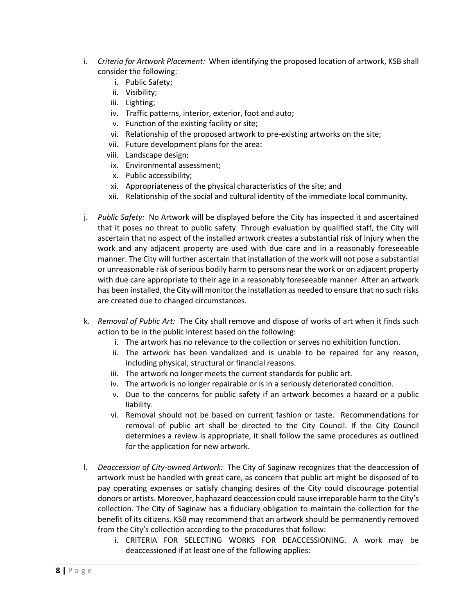- i. *Criteria for Artwork Placement:* When identifying the proposed location of artwork, KSB shall consider the following:
	- i. Public Safety;
	- ii. Visibility;
	- iii. Lighting;
	- iv. Traffic patterns, interior, exterior, foot and auto;
	- v. Function of the existing facility or site;
	- vi. Relationship of the proposed artwork to pre-existing artworks on the site;
	- vii. Future development plans for the area:
	- viii. Landscape design;
	- ix. Environmental assessment;
	- x. Public accessibility;
	- xi. Appropriateness of the physical characteristics of the site; and
	- xii. Relationship of the social and cultural identity of the immediate local community.
- j. *Public Safety:* No Artwork will be displayed before the City has inspected it and ascertained that it poses no threat to public safety. Through evaluation by qualified staff, the City will ascertain that no aspect of the installed artwork creates a substantial risk of injury when the work and any adjacent property are used with due care and in a reasonably foreseeable manner. The City will further ascertain that installation of the work will not pose a substantial or unreasonable risk of serious bodily harm to persons near the work or on adjacent property with due care appropriate to their age in a reasonably foreseeable manner. After an artwork has been installed, the City will monitor the installation as needed to ensure that no such risks are created due to changed circumstances.
- k. *Removal of Public Art:* The City shall remove and dispose of works of art when it finds such action to be in the public interest based on the following:
	- i. The artwork has no relevance to the collection or serves no exhibition function.
	- ii. The artwork has been vandalized and is unable to be repaired for any reason, including physical, structural or financial reasons.
	- iii. The artwork no longer meets the current standards for public art.
	- iv. The artwork is no longer repairable or is in a seriously deteriorated condition.
	- v. Due to the concerns for public safety if an artwork becomes a hazard or a public liability.
	- vi. Removal should not be based on current fashion or taste. Recommendations for removal of public art shall be directed to the City Council. If the City Council determines a review is appropriate, it shall follow the same procedures as outlined for the application for new artwork.
- l. *Deaccession of City-owned Artwork:* The City of Saginaw recognizes that the deaccession of artwork must be handled with great care, as concern that public art might be disposed of to pay operating expenses or satisfy changing desires of the City could discourage potential donors or artists. Moreover, haphazard deaccession could cause irreparable harm to the City's collection. The City of Saginaw has a fiduciary obligation to maintain the collection for the benefit of its citizens. KSB may recommend that an artwork should be permanently removed from the City's collection according to the procedures that follow:
	- i. CRITERIA FOR SELECTING WORKS FOR DEACCESSIONING. A work may be deaccessioned if at least one of the following applies: